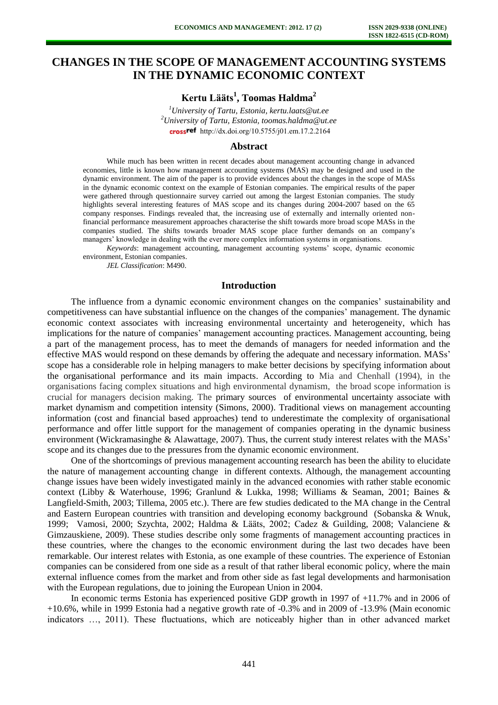# **CHANGES IN THE SCOPE OF MANAGEMENT ACCOUNTING SYSTEMS IN THE DYNAMIC ECONOMIC CONTEXT**

## **Kertu Lääts<sup>1</sup> , Toomas Haldma<sup>2</sup>**

*<sup>1</sup>University of Tartu, Estonia, kertu.laats@ut.ee <sup>2</sup>University of Tartu, Estonia, toomas.haldma@ut.ee*  crossref [http://dx.doi.org/10.5755/j01.e](http://dx.doi.org/10.5755/j01.em.17.2.2164)m.17.2.2164

#### **Abstract**

While much has been written in recent decades about management accounting change in advanced economies, little is known how management accounting systems (MAS) may be designed and used in the dynamic environment. The aim of the paper is to provide evidences about the changes in the scope of MASs in the dynamic economic context on the example of Estonian companies. The empirical results of the paper were gathered through questionnaire survey carried out among the largest Estonian companies. The study highlights several interesting features of MAS scope and its changes during 2004-2007 based on the 65 company responses. Findings revealed that, the increasing use of externally and internally oriented nonfinancial performance measurement approaches characterise the shift towards more broad scope MASs in the companies studied. The shifts towards broader MAS scope place further demands on an company's managers' knowledge in dealing with the ever more complex information systems in organisations.

*Keywords*: management accounting, management accounting systems' scope, dynamic economic environment, Estonian companies.

*JEL Classification*: M490.

## **Introduction**

The influence from a dynamic economic environment changes on the companies' sustainability and competitiveness can have substantial influence on the changes of the companies' management. The dynamic economic context associates with increasing environmental uncertainty and heterogeneity, which has implications for the nature of companies' management accounting practices. Management accounting, being a part of the management process, has to meet the demands of managers for needed information and the effective MAS would respond on these demands by offering the adequate and necessary information. MASs' scope has a considerable role in helping managers to make better decisions by specifying information about the organisational performance and its main impacts. According to Mia and Chenhall (1994), in the organisations facing complex situations and high environmental dynamism, the broad scope information is crucial for managers decision making. The primary sources of environmental uncertainty associate with market dynamism and competition intensity (Simons, 2000). Traditional views on management accounting information (cost and financial based approaches) tend to underestimate the complexity of organisational performance and offer little support for the management of companies operating in the dynamic business environment (Wickramasinghe & Alawattage, 2007). Thus, the current study interest relates with the MASs' scope and its changes due to the pressures from the dynamic economic environment.

One of the shortcomings of previous management accounting research has been the ability to elucidate the nature of management accounting change in different contexts. Although, the management accounting change issues have been widely investigated mainly in the advanced economies with rather stable economic context (Libby & Waterhouse, 1996; Granlund & Lukka, 1998; Williams & Seaman, 2001; Baines & Langfield-Smith, 2003; Tillema, 2005 etc.). There are few studies dedicated to the MA change in the Central and Eastern European countries with transition and developing economy background (Sobanska & Wnuk, 1999; Vamosi, 2000; Szychta, 2002; Haldma & Lääts, 2002; Cadez & Guilding, 2008; Valanciene & Gimzauskiene, 2009). These studies describe only some fragments of management accounting practices in these countries, where the changes to the economic environment during the last two decades have been remarkable. Our interest relates with Estonia, as one example of these countries. The experience of Estonian companies can be considered from one side as a result of that rather liberal economic policy, where the main external influence comes from the market and from other side as fast legal developments and harmonisation with the European regulations, due to joining the European Union in 2004.

In economic terms Estonia has experienced positive GDP growth in 1997 of +11.7% and in 2006 of +10.6%, while in 1999 Estonia had a negative growth rate of -0.3% and in 2009 of -13.9% (Main economic indicators …, 2011). These fluctuations, which are noticeably higher than in other advanced market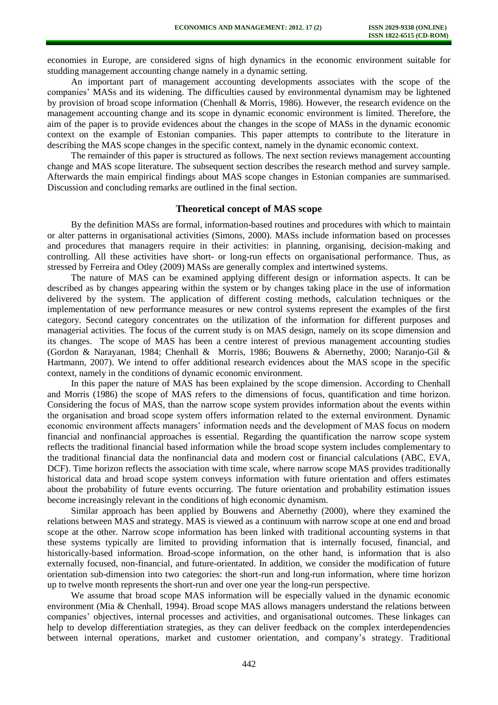economies in Europe, are considered signs of high dynamics in the economic environment suitable for studding management accounting change namely in a dynamic setting.

An important part of management accounting developments associates with the scope of the companies' MASs and its widening. The difficulties caused by environmental dynamism may be lightened by provision of broad scope information (Chenhall & Morris, 1986). However, the research evidence on the management accounting change and its scope in dynamic economic environment is limited. Therefore, the aim of the paper is to provide evidences about the changes in the scope of MASs in the dynamic economic context on the example of Estonian companies. This paper attempts to contribute to the literature in describing the MAS scope changes in the specific context, namely in the dynamic economic context.

The remainder of this paper is structured as follows. The next section reviews management accounting change and MAS scope literature. The subsequent section describes the research method and survey sample. Afterwards the main empirical findings about MAS scope changes in Estonian companies are summarised. Discussion and concluding remarks are outlined in the final section.

### **Theoretical concept of MAS scope**

By the definition MASs are formal, information-based routines and procedures with which to maintain or alter patterns in organisational activities (Simons, 2000). MASs include information based on processes and procedures that managers require in their activities: in planning, organising, decision-making and controlling. All these activities have short- or long-run effects on organisational performance. Thus, as stressed by Ferreira and Otley (2009) MASs are generally complex and intertwined systems.

The nature of MAS can be examined applying different design or information aspects. It can be described as by changes appearing within the system or by changes taking place in the use of information delivered by the system. The application of different costing methods, calculation techniques or the implementation of new performance measures or new control systems represent the examples of the first category. Second category concentrates on the utilization of the information for different purposes and managerial activities. The focus of the current study is on MAS design, namely on its scope dimension and its changes. The scope of MAS has been a centre interest of previous management accounting studies (Gordon & Narayanan, 1984; Chenhall & Morris, 1986; Bouwens & Abernethy, 2000; Naranjo-Gil & Hartmann, 2007). We intend to offer additional research evidences about the MAS scope in the specific context, namely in the conditions of dynamic economic environment.

In this paper the nature of MAS has been explained by the scope dimension. According to Chenhall and Morris (1986) the scope of MAS refers to the dimensions of focus, quantification and time horizon. Considering the focus of MAS, than the narrow scope system provides information about the events within the organisation and broad scope system offers information related to the external environment. Dynamic economic environment affects managers' information needs and the development of MAS focus on modern financial and nonfinancial approaches is essential. Regarding the quantification the narrow scope system reflects the traditional financial based information while the broad scope system includes complementary to the traditional financial data the nonfinancial data and modern cost or financial calculations (ABC, EVA, DCF). Time horizon reflects the association with time scale, where narrow scope MAS provides traditionally historical data and broad scope system conveys information with future orientation and offers estimates about the probability of future events occurring. The future orientation and probability estimation issues become increasingly relevant in the conditions of high economic dynamism.

Similar approach has been applied by Bouwens and Abernethy (2000), where they examined the relations between MAS and strategy. MAS is viewed as a continuum with narrow scope at one end and broad scope at the other. Narrow scope information has been linked with traditional accounting systems in that these systems typically are limited to providing information that is internally focused, financial, and historically-based information. Broad-scope information, on the other hand, is information that is also externally focused, non-financial, and future-orientated. In addition, we consider the modification of future orientation sub-dimension into two categories: the short-run and long-run information, where time horizon up to twelve month represents the short-run and over one year the long-run perspective.

We assume that broad scope MAS information will be especially valued in the dynamic economic environment (Mia & Chenhall, 1994). Broad scope MAS allows managers understand the relations between companies' objectives, internal processes and activities, and organisational outcomes. These linkages can help to develop differentiation strategies, as they can deliver feedback on the complex interdependencies between internal operations, market and customer orientation, and company's strategy. Traditional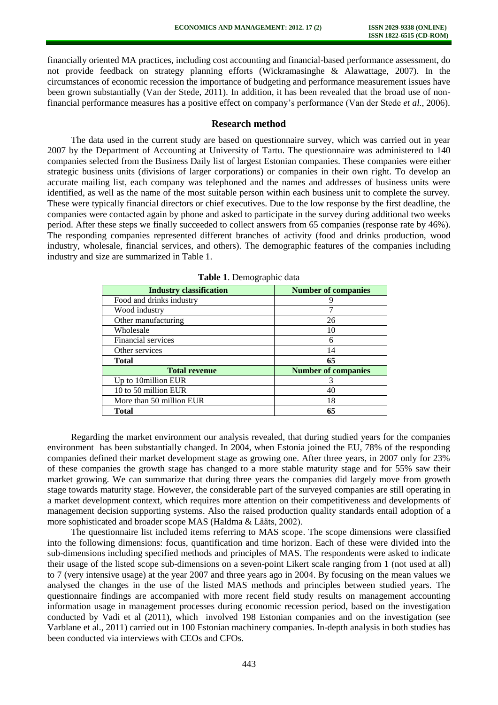financially oriented MA practices, including cost accounting and financial-based performance assessment, do not provide feedback on strategy planning efforts (Wickramasinghe & Alawattage, 2007). In the circumstances of economic recession the importance of budgeting and performance measurement issues have been grown substantially (Van der Stede, 2011). In addition, it has been revealed that the broad use of nonfinancial performance measures has a positive effect on company's performance (Van der Stede *et al.*, 2006).

## **Research method**

The data used in the current study are based on questionnaire survey, which was carried out in year 2007 by the Department of Accounting at University of Tartu. The questionnaire was administered to 140 companies selected from the Business Daily list of largest Estonian companies. These companies were either strategic business units (divisions of larger corporations) or companies in their own right. To develop an accurate mailing list, each company was telephoned and the names and addresses of business units were identified, as well as the name of the most suitable person within each business unit to complete the survey. These were typically financial directors or chief executives. Due to the low response by the first deadline, the companies were contacted again by phone and asked to participate in the survey during additional two weeks period. After these steps we finally succeeded to collect answers from 65 companies (response rate by 46%). The responding companies represented different branches of activity (food and drinks production, wood industry, wholesale, financial services, and others). The demographic features of the companies including industry and size are summarized in Table 1.

| <b>Industry classification</b> | <b>Number of companies</b> |  |
|--------------------------------|----------------------------|--|
| Food and drinks industry       | y                          |  |
| Wood industry                  |                            |  |
| Other manufacturing            | 26                         |  |
| Wholesale                      | 10                         |  |
| Financial services             | 6                          |  |
| Other services                 | 14                         |  |
| <b>Total</b>                   | 65                         |  |
| <b>Total revenue</b>           | <b>Number of companies</b> |  |
| Up to 10million EUR            |                            |  |
| 10 to 50 million EUR           | 40                         |  |
| More than 50 million EUR       | 18                         |  |
| Total                          | 65                         |  |

**Table 1**. Demographic data

Regarding the market environment our analysis revealed, that during studied years for the companies environment has been substantially changed. In 2004, when Estonia joined the EU, 78% of the responding companies defined their market development stage as growing one. After three years, in 2007 only for 23% of these companies the growth stage has changed to a more stable maturity stage and for 55% saw their market growing. We can summarize that during three years the companies did largely move from growth stage towards maturity stage. However, the considerable part of the surveyed companies are still operating in a market development context, which requires more attention on their competitiveness and developments of management decision supporting systems. Also the raised production quality standards entail adoption of a more sophisticated and broader scope MAS (Haldma & Lääts, 2002).

The questionnaire list included items referring to MAS scope. The scope dimensions were classified into the following dimensions: focus, quantification and time horizon. Each of these were divided into the sub-dimensions including specified methods and principles of MAS. The respondents were asked to indicate their usage of the listed scope sub-dimensions on a seven-point Likert scale ranging from 1 (not used at all) to 7 (very intensive usage) at the year 2007 and three years ago in 2004. By focusing on the mean values we analysed the changes in the use of the listed MAS methods and principles between studied years. The questionnaire findings are accompanied with more recent field study results on management accounting information usage in management processes during economic recession period, based on the investigation conducted by Vadi et al (2011), which involved 198 Estonian companies and on the investigation (see Varblane et al., 2011) carried out in 100 Estonian machinery companies. In-depth analysis in both studies has been conducted via interviews with CEOs and CFOs.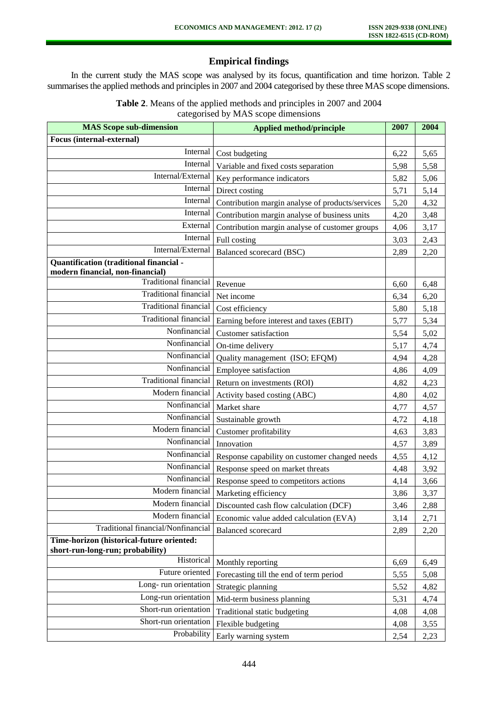# **Empirical findings**

In the current study the MAS scope was analysed by its focus, quantification and time horizon. Table 2 summarises the applied methods and principles in 2007 and 2004 categorised by these three MAS scope dimensions.

| <b>Table 2.</b> Means of the applied methods and principles in 2007 and 2004 |
|------------------------------------------------------------------------------|
| categorised by MAS scope dimensions                                          |

| <b>MAS Scope sub-dimension</b>                                                | <b>Applied method/principle</b>                  | 2007 | 2004 |
|-------------------------------------------------------------------------------|--------------------------------------------------|------|------|
| <b>Focus</b> (internal-external)                                              |                                                  |      |      |
| Internal                                                                      | Cost budgeting                                   | 6,22 | 5,65 |
| Internal                                                                      | Variable and fixed costs separation              | 5,98 | 5,58 |
| Internal/External                                                             | Key performance indicators                       | 5,82 | 5,06 |
| Internal                                                                      | Direct costing                                   | 5,71 | 5,14 |
| Internal                                                                      | Contribution margin analyse of products/services | 5,20 | 4,32 |
| Internal                                                                      | Contribution margin analyse of business units    | 4,20 | 3,48 |
| External                                                                      | Contribution margin analyse of customer groups   | 4,06 | 3,17 |
| Internal                                                                      | Full costing                                     | 3,03 | 2,43 |
| Internal/External                                                             | Balanced scorecard (BSC)                         | 2,89 | 2,20 |
| Quantification (traditional financial -<br>modern financial, non-financial)   |                                                  |      |      |
| Traditional financial                                                         | Revenue                                          | 6,60 | 6,48 |
| <b>Traditional financial</b>                                                  | Net income                                       | 6,34 | 6,20 |
| <b>Traditional financial</b>                                                  | Cost efficiency                                  | 5,80 | 5,18 |
| <b>Traditional financial</b>                                                  | Earning before interest and taxes (EBIT)         | 5,77 | 5,34 |
| Nonfinancial                                                                  | <b>Customer</b> satisfaction                     | 5,54 | 5,02 |
| Nonfinancial                                                                  | On-time delivery                                 | 5,17 | 4,74 |
| Nonfinancial                                                                  | Quality management (ISO; EFQM)                   | 4,94 | 4,28 |
| Nonfinancial                                                                  | Employee satisfaction                            | 4,86 | 4,09 |
| <b>Traditional financial</b>                                                  | Return on investments (ROI)                      | 4,82 | 4,23 |
| Modern financial                                                              | Activity based costing (ABC)                     | 4,80 | 4,02 |
| Nonfinancial                                                                  | Market share                                     | 4,77 | 4,57 |
| Nonfinancial                                                                  | Sustainable growth                               | 4,72 | 4,18 |
| Modern financial                                                              | Customer profitability                           | 4,63 | 3,83 |
| Nonfinancial                                                                  | Innovation                                       | 4,57 | 3,89 |
| Nonfinancial                                                                  | Response capability on customer changed needs    | 4,55 | 4,12 |
| Nonfinancial                                                                  | Response speed on market threats                 | 4,48 | 3,92 |
| Nonfinancial                                                                  | Response speed to competitors actions            | 4,14 | 3,66 |
| Modern financial                                                              | Marketing efficiency                             | 3,86 | 3,37 |
| Modern financial                                                              | Discounted cash flow calculation (DCF)           | 3,46 | 2,88 |
| Modern financial                                                              | Economic value added calculation (EVA)           | 3,14 | 2,71 |
| Traditional financial/Nonfinancial                                            | <b>Balanced</b> scorecard                        | 2,89 | 2,20 |
| Time-horizon (historical-future oriented:<br>short-run-long-run; probability) |                                                  |      |      |
| Historical                                                                    | Monthly reporting                                | 6,69 | 6,49 |
| Future oriented                                                               | Forecasting till the end of term period          | 5,55 | 5,08 |
| Long-run orientation                                                          | Strategic planning                               | 5,52 | 4,82 |
| Long-run orientation                                                          | Mid-term business planning                       | 5,31 | 4,74 |
| Short-run orientation                                                         | Traditional static budgeting                     | 4,08 | 4,08 |
| Short-run orientation                                                         | Flexible budgeting                               | 4,08 | 3,55 |
| Probability                                                                   | Early warning system                             | 2,54 | 2,23 |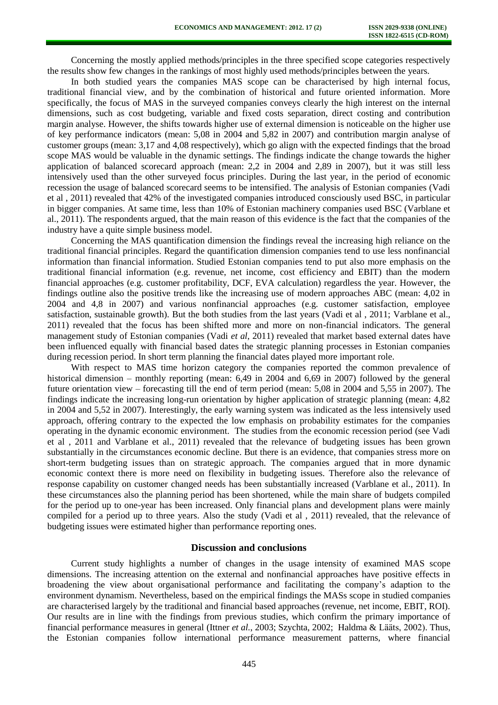Concerning the mostly applied methods/principles in the three specified scope categories respectively the results show few changes in the rankings of most highly used methods/principles between the years.

In both studied years the companies MAS scope can be characterised by high internal focus, traditional financial view, and by the combination of historical and future oriented information. More specifically, the focus of MAS in the surveyed companies conveys clearly the high interest on the internal dimensions, such as cost budgeting, variable and fixed costs separation, direct costing and contribution margin analyse. However, the shifts towards higher use of external dimension is noticeable on the higher use of key performance indicators (mean: 5,08 in 2004 and 5,82 in 2007) and contribution margin analyse of customer groups (mean: 3,17 and 4,08 respectively), which go align with the expected findings that the broad scope MAS would be valuable in the dynamic settings. The findings indicate the change towards the higher application of balanced scorecard approach (mean: 2,2 in 2004 and 2,89 in 2007), but it was still less intensively used than the other surveyed focus principles. During the last year, in the period of economic recession the usage of balanced scorecard seems to be intensified. The analysis of Estonian companies (Vadi et al , 2011) revealed that 42% of the investigated companies introduced consciously used BSC, in particular in bigger companies. At same time, less than 10% of Estonian machinery companies used BSC (Varblane et al., 2011). The respondents argued, that the main reason of this evidence is the fact that the companies of the industry have a quite simple business model.

Concerning the MAS quantification dimension the findings reveal the increasing high reliance on the traditional financial principles. Regard the quantification dimension companies tend to use less nonfinancial information than financial information. Studied Estonian companies tend to put also more emphasis on the traditional financial information (e.g. revenue, net income, cost efficiency and EBIT) than the modern financial approaches (e.g. customer profitability, DCF, EVA calculation) regardless the year. However, the findings outline also the positive trends like the increasing use of modern approaches ABC (mean: 4,02 in 2004 and 4,8 in 2007) and various nonfinancial approaches (e.g. customer satisfaction, employee satisfaction, sustainable growth). But the both studies from the last years (Vadi et al , 2011; Varblane et al., 2011) revealed that the focus has been shifted more and more on non-financial indicators. The general management study of Estonian companies (Vadi *et al*, 2011) revealed that market based external dates have been influenced equally with financial based dates the strategic planning processes in Estonian companies during recession period. In short term planning the financial dates played more important role.

With respect to MAS time horizon category the companies reported the common prevalence of historical dimension – monthly reporting (mean: 6,49 in 2004 and 6,69 in 2007) followed by the general future orientation view – forecasting till the end of term period (mean: 5,08 in 2004 and 5,55 in 2007). The findings indicate the increasing long-run orientation by higher application of strategic planning (mean: 4,82 in 2004 and 5,52 in 2007). Interestingly, the early warning system was indicated as the less intensively used approach, offering contrary to the expected the low emphasis on probability estimates for the companies operating in the dynamic economic environment. The studies from the economic recession period (see Vadi et al , 2011 and Varblane et al., 2011) revealed that the relevance of budgeting issues has been grown substantially in the circumstances economic decline. But there is an evidence, that companies stress more on short-term budgeting issues than on strategic approach. The companies argued that in more dynamic economic context there is more need on flexibility in budgeting issues. Therefore also the relevance of response capability on customer changed needs has been substantially increased (Varblane et al., 2011). In these circumstances also the planning period has been shortened, while the main share of budgets compiled for the period up to one-year has been increased. Only financial plans and development plans were mainly compiled for a period up to three years. Also the study (Vadi et al , 2011) revealed, that the relevance of budgeting issues were estimated higher than performance reporting ones.

### **Discussion and conclusions**

Current study highlights a number of changes in the usage intensity of examined MAS scope dimensions. The increasing attention on the external and nonfinancial approaches have positive effects in broadening the view about organisational performance and facilitating the company's adaption to the environment dynamism. Nevertheless, based on the empirical findings the MASs scope in studied companies are characterised largely by the traditional and financial based approaches (revenue, net income, EBIT, ROI). Our results are in line with the findings from previous studies, which confirm the primary importance of financial performance measures in general (Ittner *et al.*, 2003; Szychta, 2002; Haldma & Lääts, 2002). Thus, the Estonian companies follow international performance measurement patterns, where financial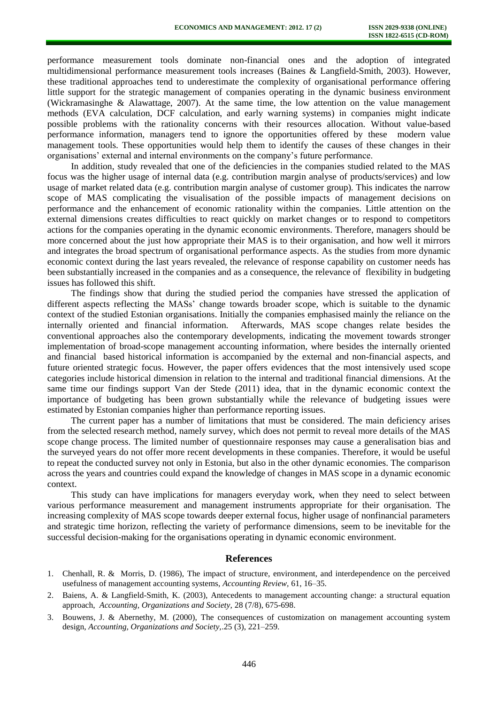performance measurement tools dominate non-financial ones and the adoption of integrated multidimensional performance measurement tools increases (Baines & Langfield-Smith, 2003). However, these traditional approaches tend to underestimate the complexity of organisational performance offering little support for the strategic management of companies operating in the dynamic business environment (Wickramasinghe & Alawattage, 2007). At the same time, the low attention on the value management methods (EVA calculation, DCF calculation, and early warning systems) in companies might indicate possible problems with the rationality concerns with their resources allocation. Without value-based performance information, managers tend to ignore the opportunities offered by these modern value management tools. These opportunities would help them to identify the causes of these changes in their organisations' external and internal environments on the company's future performance.

In addition, study revealed that one of the deficiencies in the companies studied related to the MAS focus was the higher usage of internal data (e.g. contribution margin analyse of products/services) and low usage of market related data (e.g. contribution margin analyse of customer group). This indicates the narrow scope of MAS complicating the visualisation of the possible impacts of management decisions on performance and the enhancement of economic rationality within the companies. Little attention on the external dimensions creates difficulties to react quickly on market changes or to respond to competitors actions for the companies operating in the dynamic economic environments. Therefore, managers should be more concerned about the just how appropriate their MAS is to their organisation, and how well it mirrors and integrates the broad spectrum of organisational performance aspects. As the studies from more dynamic economic context during the last years revealed, the relevance of response capability on customer needs has been substantially increased in the companies and as a consequence, the relevance of flexibility in budgeting issues has followed this shift.

The findings show that during the studied period the companies have stressed the application of different aspects reflecting the MASs' change towards broader scope, which is suitable to the dynamic context of the studied Estonian organisations. Initially the companies emphasised mainly the reliance on the internally oriented and financial information. Afterwards, MAS scope changes relate besides the conventional approaches also the contemporary developments, indicating the movement towards stronger implementation of broad-scope management accounting information, where besides the internally oriented and financial based historical information is accompanied by the external and non-financial aspects, and future oriented strategic focus. However, the paper offers evidences that the most intensively used scope categories include historical dimension in relation to the internal and traditional financial dimensions. At the same time our findings support Van der Stede (2011) idea, that in the dynamic economic context the importance of budgeting has been grown substantially while the relevance of budgeting issues were estimated by Estonian companies higher than performance reporting issues.

The current paper has a number of limitations that must be considered. The main deficiency arises from the selected research method, namely survey, which does not permit to reveal more details of the MAS scope change process. The limited number of questionnaire responses may cause a generalisation bias and the surveyed years do not offer more recent developments in these companies. Therefore, it would be useful to repeat the conducted survey not only in Estonia, but also in the other dynamic economies. The comparison across the years and countries could expand the knowledge of changes in MAS scope in a dynamic economic context.

This study can have implications for managers everyday work, when they need to select between various performance measurement and management instruments appropriate for their organisation. The increasing complexity of MAS scope towards deeper external focus, higher usage of nonfinancial parameters and strategic time horizon, reflecting the variety of performance dimensions, seem to be inevitable for the successful decision-making for the organisations operating in dynamic economic environment.

#### **References**

- 1. Chenhall, R. & Morris, D. (1986), The impact of structure, environment, and interdependence on the perceived usefulness of management accounting systems, *Accounting Review,* 61, 16–35.
- 2. Baiens, A. & [Langfield-Smith,](http://www.sciencedirect.com/science?_ob=RedirectURL&_method=outwardLink&_partnerName=27983&_origin=article&_zone=art_page&_linkType=scopusAuthorDocuments&_targetURL=http%3A%2F%2Fwww.scopus.com%2Fscopus%2Finward%2Fauthor.url%3FpartnerID%3D10%26rel%3D3.0.0%26sortField%3Dcited%26sortOrder%3Dasc%26author%3DLangfield-Smith,%2520Kim%26authorID%3D6602681783%26md5%3Dbe909be7d131fdc05d72af5347746f50&_acct=C000043701&_version=1&_userid=9056232&md5=764b6758f2e8524469f005455c9072db) K. (2003), Antecedents to management accounting change: a structural equation approach, *Accounting, Organizations and Society,* 28 (7/8), 675-698.
- 3. Bouwens, J. & Abernethy, M. (2000), The consequences of customization on management accounting system design, *Accounting, Organizations and Society,*.25 (3), 221–259.